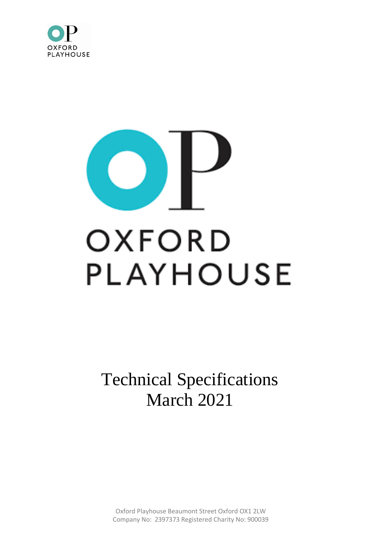

# OXFORD PLAYHOUSE

Technical Specifications March 2021

Oxford Playhouse Beaumont Street Oxford OX1 2LW Company No: 2397373 Registered Charity No: 900039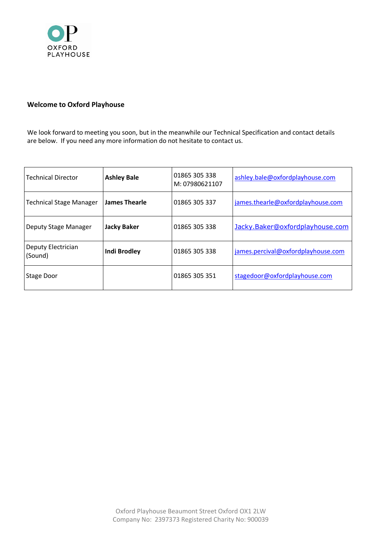

# **Welcome to Oxford Playhouse**

We look forward to meeting you soon, but in the meanwhile our Technical Specification and contact details are below. If you need any more information do not hesitate to contact us.

| l Technical Director          | <b>Ashley Bale</b>   | 01865 305 338<br>M: 07980621107 | ashley.bale@oxfordplayhouse.com    |
|-------------------------------|----------------------|---------------------------------|------------------------------------|
| Technical Stage Manager       | <b>James Thearle</b> | 01865 305 337                   | james.thearle@oxfordplayhouse.com  |
| Deputy Stage Manager          | <b>Jacky Baker</b>   | 01865 305 338                   | Jacky.Baker@oxfordplayhouse.com    |
| Deputy Electrician<br>(Sound) | <b>Indi Brodley</b>  | 01865 305 338                   | james.percival@oxfordplayhouse.com |
| Stage Door                    |                      | 01865 305 351                   | stagedoor@oxfordplayhouse.com      |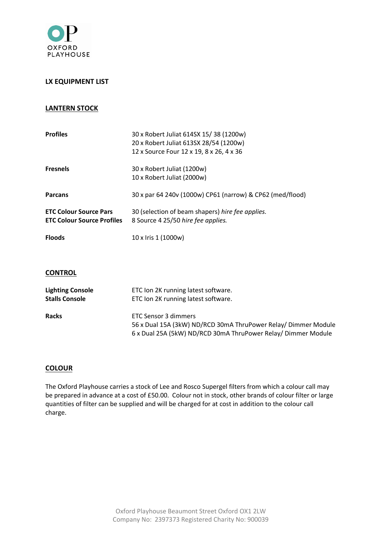

## **LX EQUIPMENT LIST**

## **LANTERN STOCK**

| <b>Profiles</b>                                                    | 30 x Robert Juliat 614SX 15/38 (1200w)<br>20 x Robert Juliat 613SX 28/54 (1200w)<br>12 x Source Four 12 x 19, 8 x 26, 4 x 36 |
|--------------------------------------------------------------------|------------------------------------------------------------------------------------------------------------------------------|
| <b>Fresnels</b>                                                    | 30 x Robert Juliat (1200w)<br>10 x Robert Juliat (2000w)                                                                     |
| <b>Parcans</b>                                                     | 30 x par 64 240v (1000w) CP61 (narrow) & CP62 (med/flood)                                                                    |
| <b>ETC Colour Source Pars</b><br><b>ETC Colour Source Profiles</b> | 30 (selection of beam shapers) hire fee applies.<br>8 Source 4 25/50 hire fee applies.                                       |
| <b>Floods</b>                                                      | 10 x Iris 1 (1000w)                                                                                                          |

### **CONTROL**

| <b>Lighting Console</b> | ETC Ion 2K running latest software.                                                                                                                            |
|-------------------------|----------------------------------------------------------------------------------------------------------------------------------------------------------------|
| <b>Stalls Console</b>   | ETC Ion 2K running latest software.                                                                                                                            |
| <b>Racks</b>            | <b>ETC Sensor 3 dimmers</b><br>56 x Dual 15A (3kW) ND/RCD 30mA ThruPower Relay/ Dimmer Module<br>6 x Dual 25A (5kW) ND/RCD 30mA ThruPower Relay/ Dimmer Module |

## **COLOUR**

The Oxford Playhouse carries a stock of Lee and Rosco Supergel filters from which a colour call may be prepared in advance at a cost of £50.00. Colour not in stock, other brands of colour filter or large quantities of filter can be supplied and will be charged for at cost in addition to the colour call charge.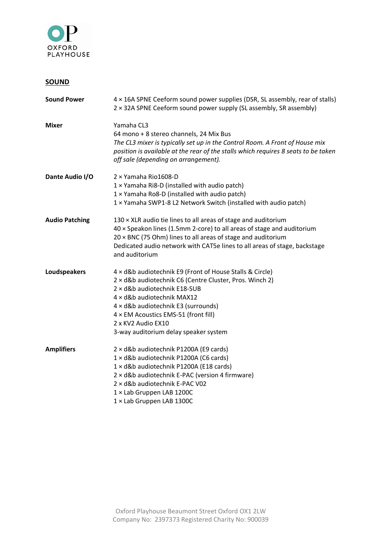

# **SOUND**

| <b>Sound Power</b>    | 4 x 16A SPNE Ceeform sound power supplies (DSR, SL assembly, rear of stalls)<br>2 × 32A SPNE Ceeform sound power supply (SL assembly, SR assembly)                                                                                                                                                                              |
|-----------------------|---------------------------------------------------------------------------------------------------------------------------------------------------------------------------------------------------------------------------------------------------------------------------------------------------------------------------------|
| <b>Mixer</b>          | Yamaha CL3<br>64 mono + 8 stereo channels, 24 Mix Bus<br>The CL3 mixer is typically set up in the Control Room. A Front of House mix<br>position is available at the rear of the stalls which requires 8 seats to be taken<br>off sale (depending on arrangement).                                                              |
| Dante Audio I/O       | 2 × Yamaha Rio1608-D<br>1 x Yamaha Ri8-D (installed with audio patch)<br>1 x Yamaha Ro8-D (installed with audio patch)<br>1 × Yamaha SWP1-8 L2 Network Switch (installed with audio patch)                                                                                                                                      |
| <b>Audio Patching</b> | 130 × XLR audio tie lines to all areas of stage and auditorium<br>$40 \times$ Speakon lines (1.5mm 2-core) to all areas of stage and auditorium<br>$20 \times BNC$ (75 Ohm) lines to all areas of stage and auditorium<br>Dedicated audio network with CAT5e lines to all areas of stage, backstage<br>and auditorium           |
| Loudspeakers          | 4 x d&b audiotechnik E9 (Front of House Stalls & Circle)<br>2 × d&b audiotechnik C6 (Centre Cluster, Pros. Winch 2)<br>2 × d&b audiotechnik E18-SUB<br>4 x d&b audiotechnik MAX12<br>4 x d&b audiotechnik E3 (surrounds)<br>4 × EM Acoustics EMS-51 (front fill)<br>2 x KV2 Audio EX10<br>3-way auditorium delay speaker system |
| <b>Amplifiers</b>     | 2 × d&b audiotechnik P1200A (E9 cards)<br>1 × d&b audiotechnik P1200A (C6 cards)<br>1 × d&b audiotechnik P1200A (E18 cards)<br>2 × d&b audiotechnik E-PAC (version 4 firmware)<br>2 × d&b audiotechnik E-PAC V02<br>1 × Lab Gruppen LAB 1200C<br>1 × Lab Gruppen LAB 1300C                                                      |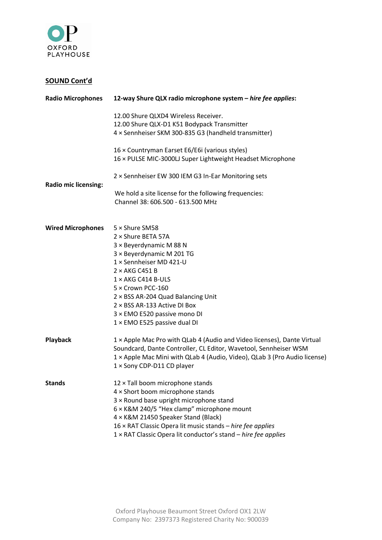

# **SOUND Cont'd**

| <b>Radio Microphones</b>    | 12-way Shure QLX radio microphone system - hire fee applies:                                                 |  |  |
|-----------------------------|--------------------------------------------------------------------------------------------------------------|--|--|
|                             | 12.00 Shure QLXD4 Wireless Receiver.                                                                         |  |  |
|                             | 12.00 Shure QLX-D1 K51 Bodypack Transmitter                                                                  |  |  |
|                             | 4 x Sennheiser SKM 300-835 G3 (handheld transmitter)                                                         |  |  |
|                             | 16 × Countryman Earset E6/E6i (various styles)<br>16 × PULSE MIC-3000LJ Super Lightweight Headset Microphone |  |  |
|                             | 2 × Sennheiser EW 300 IEM G3 In-Ear Monitoring sets                                                          |  |  |
| <b>Radio mic licensing:</b> |                                                                                                              |  |  |
|                             | We hold a site license for the following frequencies:<br>Channel 38: 606.500 - 613.500 MHz                   |  |  |
| <b>Wired Microphones</b>    | 5 × Shure SM58                                                                                               |  |  |
|                             | 2 × Shure BETA 57A                                                                                           |  |  |
|                             | 3 × Beyerdynamic M 88 N                                                                                      |  |  |
|                             | 3 × Beyerdynamic M 201 TG                                                                                    |  |  |
|                             | $1 \times$ Sennheiser MD 421-U                                                                               |  |  |
|                             | $2 \times AKG$ C451 B                                                                                        |  |  |
|                             | $1 \times AKG$ C414 B-ULS                                                                                    |  |  |
|                             | 5 × Crown PCC-160                                                                                            |  |  |
|                             | 2 × BSS AR-204 Quad Balancing Unit                                                                           |  |  |
|                             | $2 \times BSS$ AR-133 Active DI Box                                                                          |  |  |
|                             | 3 × EMO E520 passive mono DI                                                                                 |  |  |
|                             | $1 \times$ EMO E525 passive dual DI                                                                          |  |  |
| Playback                    | 1 x Apple Mac Pro with QLab 4 (Audio and Video licenses), Dante Virtual                                      |  |  |
|                             | Soundcard, Dante Controller, CL Editor, Wavetool, Sennheiser WSM                                             |  |  |
|                             | 1 × Apple Mac Mini with QLab 4 (Audio, Video), QLab 3 (Pro Audio license)                                    |  |  |
|                             | 1 × Sony CDP-D11 CD player                                                                                   |  |  |
| <b>Stands</b>               | 12 × Tall boom microphone stands                                                                             |  |  |
|                             | $4 \times$ Short boom microphone stands                                                                      |  |  |
|                             | 3 × Round base upright microphone stand                                                                      |  |  |
|                             | 6 × K&M 240/5 "Hex clamp" microphone mount                                                                   |  |  |
|                             | 4 x K&M 21450 Speaker Stand (Black)                                                                          |  |  |
|                             | 16 × RAT Classic Opera lit music stands - hire fee applies                                                   |  |  |
|                             | 1 × RAT Classic Opera lit conductor's stand - hire fee applies                                               |  |  |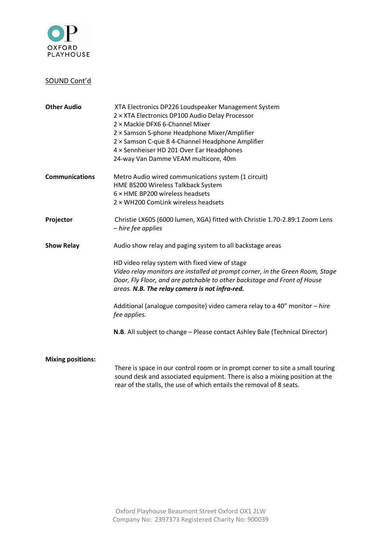

## SOUND Cont'd

| <b>Other Audio</b>       | XTA Electronics DP226 Loudspeaker Management System<br>2 × XTA Electronics DP100 Audio Delay Processor<br>2 × Mackie DFX6 6-Channel Mixer<br>2 × Samson S-phone Headphone Mixer/Amplifier<br>2 × Samson C-que 8 4-Channel Headphone Amplifier<br>4 x Sennheiser HD 201 Over Ear Headphones<br>24-way Van Damme VEAM multicore, 40m |
|--------------------------|------------------------------------------------------------------------------------------------------------------------------------------------------------------------------------------------------------------------------------------------------------------------------------------------------------------------------------|
| <b>Communications</b>    | Metro Audio wired communications system (1 circuit)<br>HME BS200 Wireless Talkback System<br>$6 \times$ HME BP200 wireless headsets<br>$2 \times$ WH200 ComLink wireless headsets                                                                                                                                                  |
| Projector                | Christie LX605 (6000 lumen, XGA) fitted with Christie 1.70-2.89:1 Zoom Lens<br>- hire fee applies                                                                                                                                                                                                                                  |
| <b>Show Relay</b>        | Audio show relay and paging system to all backstage areas                                                                                                                                                                                                                                                                          |
|                          | HD video relay system with fixed view of stage<br>Video relay monitors are installed at prompt corner, in the Green Room, Stage<br>Door, Fly Floor, and are patchable to other backstage and Front of House<br>areas. N.B. The relay camera is not infra-red.                                                                      |
|                          | Additional (analogue composite) video camera relay to a 40" monitor - hire<br>fee applies.                                                                                                                                                                                                                                         |
|                          | N.B. All subject to change - Please contact Ashley Bale (Technical Director)                                                                                                                                                                                                                                                       |
| <b>Mixing positions:</b> |                                                                                                                                                                                                                                                                                                                                    |
|                          | There is space in our control room or in prompt corner to site a small touring<br>sound desk and associated equipment. There is also a mixing position at the                                                                                                                                                                      |

rear of the stalls, the use of which entails the removal of 8 seats.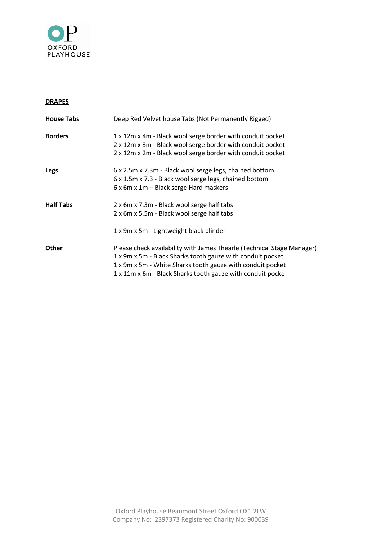

### **DRAPES**

| Deep Red Velvet house Tabs (Not Permanently Rigged)                    |
|------------------------------------------------------------------------|
| 1 x 12m x 4m - Black wool serge border with conduit pocket             |
| 2 x 12m x 3m - Black wool serge border with conduit pocket             |
| 2 x 12m x 2m - Black wool serge border with conduit pocket             |
| 6 x 2.5m x 7.3m - Black wool serge legs, chained bottom                |
| 6 x 1.5m x 7.3 - Black wool serge legs, chained bottom                 |
| 6 x 6m x 1m – Black serge Hard maskers                                 |
| 2 x 6m x 7.3m - Black wool serge half tabs                             |
| 2 x 6m x 5.5m - Black wool serge half tabs                             |
| 1 x 9m x 5m - Lightweight black blinder                                |
| Please check availability with James Thearle (Technical Stage Manager) |
| 1 x 9m x 5m - Black Sharks tooth gauze with conduit pocket             |
| 1 x 9m x 5m - White Sharks tooth gauze with conduit pocket             |
| 1 x 11m x 6m - Black Sharks tooth gauze with conduit pocke             |
|                                                                        |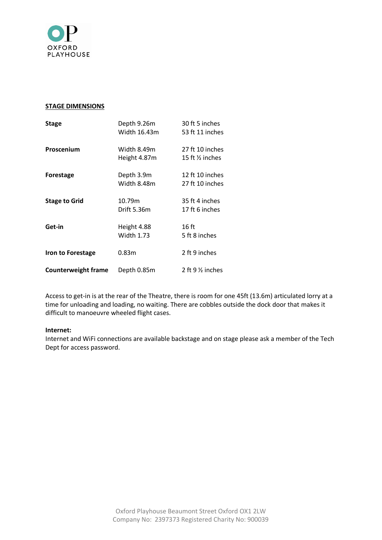

#### **STAGE DIMENSIONS**

| <b>Stage</b>               | Depth 9.26m       | 30 ft 5 inches             |
|----------------------------|-------------------|----------------------------|
|                            | Width 16.43m      | 53 ft 11 inches            |
| Proscenium                 | Width 8.49m       | 27 ft 10 inches            |
|                            | Height 4.87m      | 15 ft $\frac{1}{2}$ inches |
| <b>Forestage</b>           | Depth 3.9m        | 12 ft 10 inches            |
|                            | Width 8.48m       | 27 ft 10 inches            |
| <b>Stage to Grid</b>       | 10.79m            | 35 ft 4 inches             |
|                            | Drift 5.36m       | 17 ft 6 inches             |
| Get-in                     | Height 4.88       | $16$ ft                    |
|                            | <b>Width 1.73</b> | 5 ft 8 inches              |
| Iron to Forestage          | 0.83m             | 2 ft 9 inches              |
| <b>Counterweight frame</b> | Depth 0.85m       | 2 ft $9\%$ inches          |

Access to get-in is at the rear of the Theatre, there is room for one 45ft (13.6m) articulated lorry at a time for unloading and loading, no waiting. There are cobbles outside the dock door that makes it difficult to manoeuvre wheeled flight cases.

#### **Internet:**

Internet and WiFi connections are available backstage and on stage please ask a member of the Tech Dept for access password.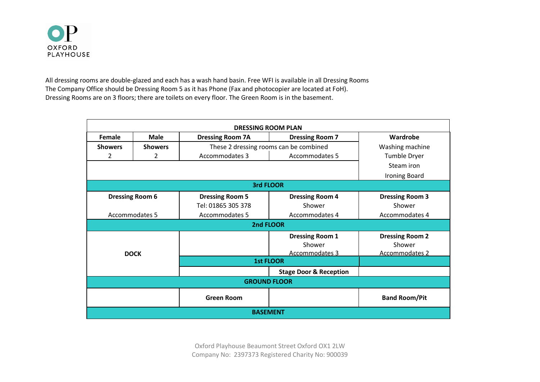

All dressing rooms are double-glazed and each has a wash hand basin. Free WFI is available in all Dressing Rooms The Company Office should be Dressing Room 5 as it has Phone (Fax and photocopier are located at FoH). Dressing Rooms are on 3 floors; there are toilets on every floor. The Green Room is in the basement.

| <b>DRESSING ROOM PLAN</b> |                        |                                        |                                                    |                                                    |
|---------------------------|------------------------|----------------------------------------|----------------------------------------------------|----------------------------------------------------|
| Female                    | <b>Male</b>            | <b>Dressing Room 7A</b>                | <b>Dressing Room 7</b>                             | Wardrobe                                           |
| <b>Showers</b>            | <b>Showers</b>         | These 2 dressing rooms can be combined |                                                    | Washing machine                                    |
| 2                         | 2                      | Accommodates 3<br>Accommodates 5       |                                                    | <b>Tumble Dryer</b>                                |
|                           |                        |                                        |                                                    | Steam iron                                         |
|                           |                        |                                        |                                                    | <b>Ironing Board</b>                               |
|                           |                        |                                        | 3rd FLOOR                                          |                                                    |
|                           | <b>Dressing Room 6</b> | <b>Dressing Room 5</b>                 | <b>Dressing Room 4</b>                             | <b>Dressing Room 3</b>                             |
|                           |                        | Tel: 01865 305 378                     | Shower                                             | Shower                                             |
| Accommodates 5            |                        | Accommodates 5                         | Accommodates 4                                     | Accommodates 4                                     |
|                           |                        |                                        | 2nd FLOOR                                          |                                                    |
| <b>DOCK</b>               |                        |                                        | <b>Dressing Room 1</b><br>Shower<br>Accommodates 3 | <b>Dressing Room 2</b><br>Shower<br>Accommodates 2 |
|                           |                        | <b>1st FLOOR</b>                       |                                                    |                                                    |
|                           |                        |                                        | <b>Stage Door &amp; Reception</b>                  |                                                    |
| <b>GROUND FLOOR</b>       |                        |                                        |                                                    |                                                    |
|                           |                        | <b>Green Room</b>                      |                                                    | <b>Band Room/Pit</b>                               |
| <b>BASEMENT</b>           |                        |                                        |                                                    |                                                    |

Oxford Playhouse Beaumont Street Oxford OX1 2LW Company No: 2397373 Registered Charity No: 900039